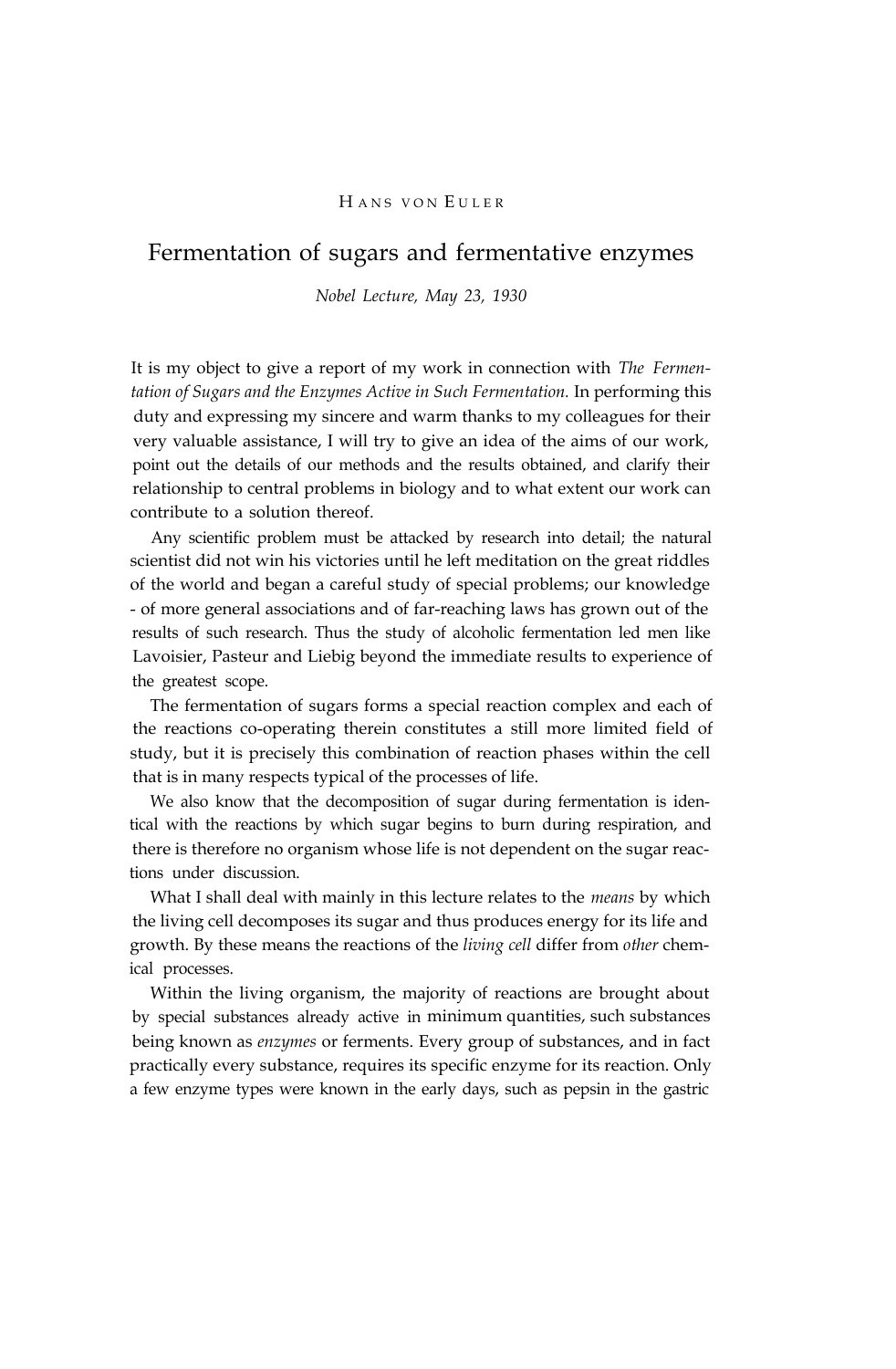## HANS VON EULER

# Fermentation of sugars and fermentative enzymes

*Nobel Lecture, May 23, 1930*

It is my object to give a report of my work in connection with *The Fermentation of Sugars and the Enzymes Active in Such Fermentation.* In performing this duty and expressing my sincere and warm thanks to my colleagues for their very valuable assistance, I will try to give an idea of the aims of our work, point out the details of our methods and the results obtained, and clarify their relationship to central problems in biology and to what extent our work can contribute to a solution thereof.

Any scientific problem must be attacked by research into detail; the natural scientist did not win his victories until he left meditation on the great riddles of the world and began a careful study of special problems; our knowledge - of more general associations and of far-reaching laws has grown out of the results of such research. Thus the study of alcoholic fermentation led men like Lavoisier, Pasteur and Liebig beyond the immediate results to experience of the greatest scope.

The fermentation of sugars forms a special reaction complex and each of the reactions co-operating therein constitutes a still more limited field of study, but it is precisely this combination of reaction phases within the cell that is in many respects typical of the processes of life.

We also know that the decomposition of sugar during fermentation is identical with the reactions by which sugar begins to burn during respiration, and there is therefore no organism whose life is not dependent on the sugar reactions under discussion.

What I shall deal with mainly in this lecture relates to the *means* by which the living cell decomposes its sugar and thus produces energy for its life and growth. By these means the reactions of the *living cell* differ from *other* chemical processes.

Within the living organism, the majority of reactions are brought about by special substances already active in minimum quantities, such substances being known as *enzymes* or ferments. Every group of substances, and in fact practically every substance, requires its specific enzyme for its reaction. Only a few enzyme types were known in the early days, such as pepsin in the gastric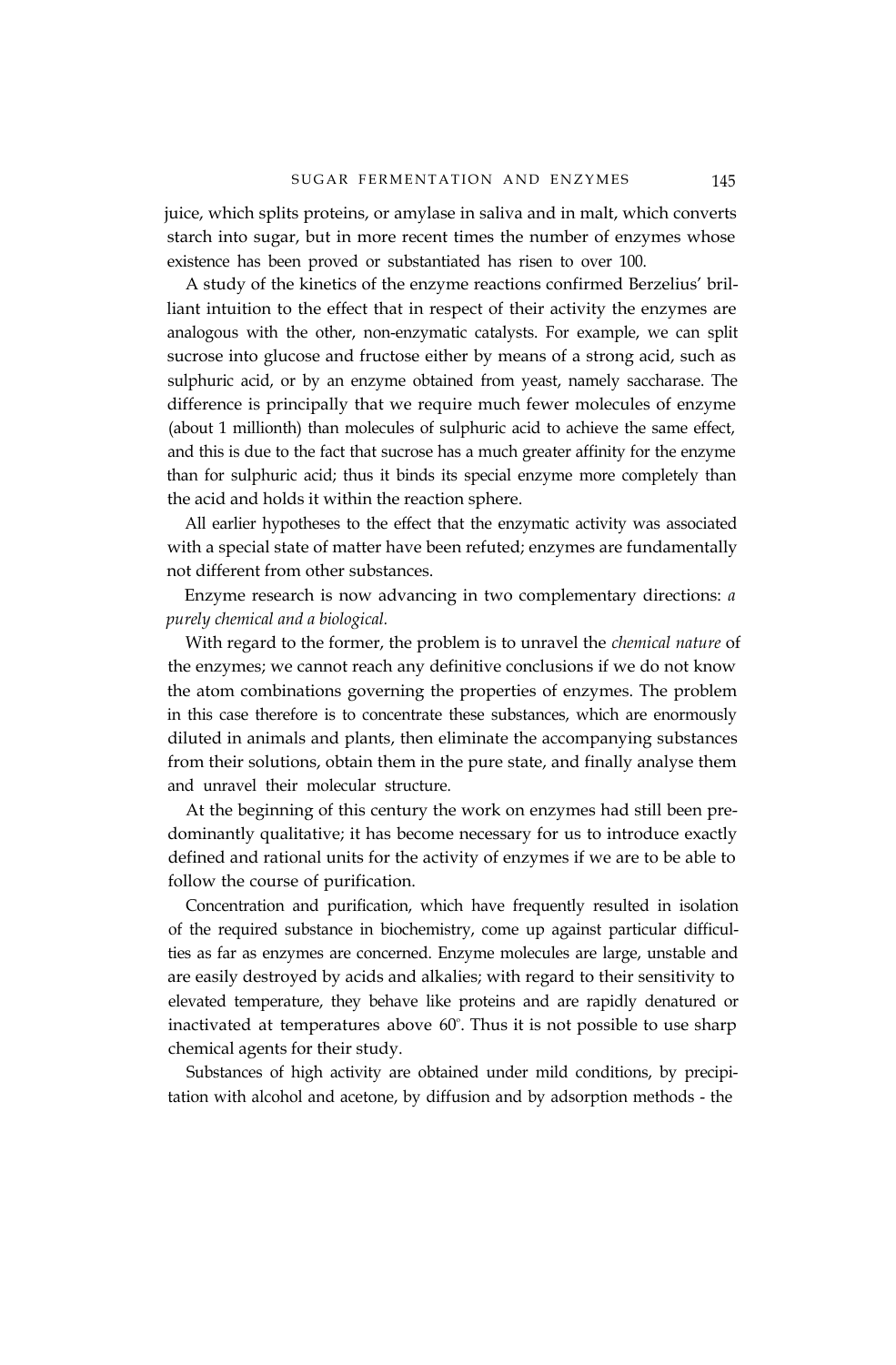juice, which splits proteins, or amylase in saliva and in malt, which converts starch into sugar, but in more recent times the number of enzymes whose existence has been proved or substantiated has risen to over 100.

A study of the kinetics of the enzyme reactions confirmed Berzelius' brilliant intuition to the effect that in respect of their activity the enzymes are analogous with the other, non-enzymatic catalysts. For example, we can split sucrose into glucose and fructose either by means of a strong acid, such as sulphuric acid, or by an enzyme obtained from yeast, namely saccharase. The difference is principally that we require much fewer molecules of enzyme (about 1 millionth) than molecules of sulphuric acid to achieve the same effect, and this is due to the fact that sucrose has a much greater affinity for the enzyme than for sulphuric acid; thus it binds its special enzyme more completely than the acid and holds it within the reaction sphere.

All earlier hypotheses to the effect that the enzymatic activity was associated with a special state of matter have been refuted; enzymes are fundamentally not different from other substances.

Enzyme research is now advancing in two complementary directions: *a purely chemical and a biological.*

With regard to the former, the problem is to unravel the *chemical nature* of the enzymes; we cannot reach any definitive conclusions if we do not know the atom combinations governing the properties of enzymes. The problem in this case therefore is to concentrate these substances, which are enormously diluted in animals and plants, then eliminate the accompanying substances from their solutions, obtain them in the pure state, and finally analyse them and unravel their molecular structure.

At the beginning of this century the work on enzymes had still been predominantly qualitative; it has become necessary for us to introduce exactly defined and rational units for the activity of enzymes if we are to be able to follow the course of purification.

Concentration and purification, which have frequently resulted in isolation of the required substance in biochemistry, come up against particular difficulties as far as enzymes are concerned. Enzyme molecules are large, unstable and are easily destroyed by acids and alkalies; with regard to their sensitivity to elevated temperature, they behave like proteins and are rapidly denatured or inactivated at temperatures above  $60^{\circ}$ . Thus it is not possible to use sharp chemical agents for their study.

Substances of high activity are obtained under mild conditions, by precipitation with alcohol and acetone, by diffusion and by adsorption methods - the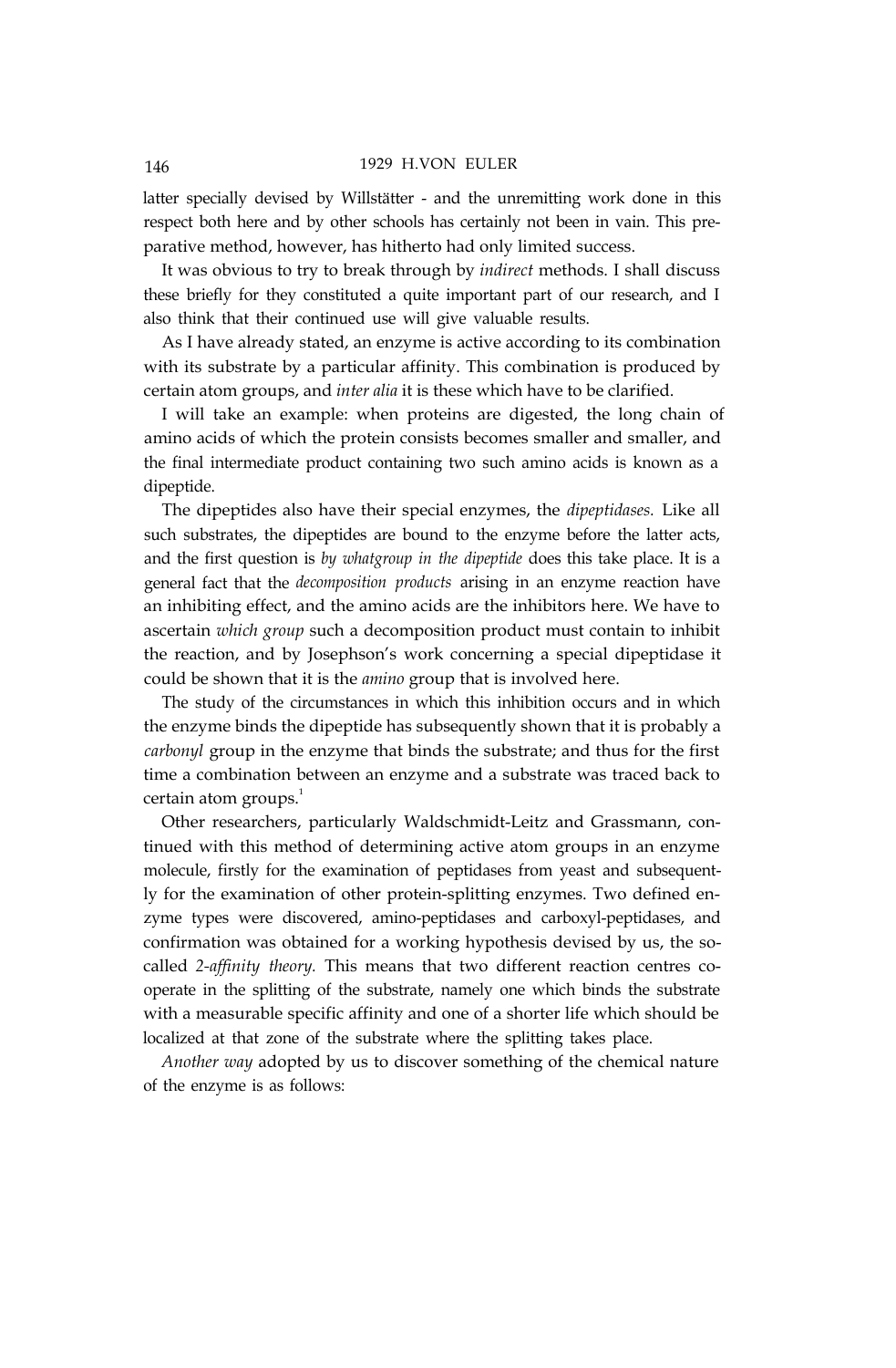## 146 1929 H.VON EULER

latter specially devised by Willstätter - and the unremitting work done in this respect both here and by other schools has certainly not been in vain. This preparative method, however, has hitherto had only limited success.

It was obvious to try to break through by *indirect* methods. I shall discuss these briefly for they constituted a quite important part of our research, and I also think that their continued use will give valuable results.

As I have already stated, an enzyme is active according to its combination with its substrate by a particular affinity. This combination is produced by certain atom groups, and *inter alia* it is these which have to be clarified.

I will take an example: when proteins are digested, the long chain of amino acids of which the protein consists becomes smaller and smaller, and the final intermediate product containing two such amino acids is known as a dipeptide.

The dipeptides also have their special enzymes, the *dipeptidases.* Like all such substrates, the dipeptides are bound to the enzyme before the latter acts, and the first question is *by whatgroup in the dipeptide* does this take place. It is a general fact that the *decomposition products* arising in an enzyme reaction have an inhibiting effect, and the amino acids are the inhibitors here. We have to ascertain *which group* such a decomposition product must contain to inhibit the reaction, and by Josephson's work concerning a special dipeptidase it could be shown that it is the *amino* group that is involved here.

The study of the circumstances in which this inhibition occurs and in which the enzyme binds the dipeptide has subsequently shown that it is probably a *carbonyl* group in the enzyme that binds the substrate; and thus for the first time a combination between an enzyme and a substrate was traced back to certain atom groups.<sup>1</sup>

Other researchers, particularly Waldschmidt-Leitz and Grassmann, continued with this method of determining active atom groups in an enzyme molecule, firstly for the examination of peptidases from yeast and subsequently for the examination of other protein-splitting enzymes. Two defined enzyme types were discovered, amino-peptidases and carboxyl-peptidases, and confirmation was obtained for a working hypothesis devised by us, the socalled *2-affinity theory.* This means that two different reaction centres cooperate in the splitting of the substrate, namely one which binds the substrate with a measurable specific affinity and one of a shorter life which should be localized at that zone of the substrate where the splitting takes place.

*Another way* adopted by us to discover something of the chemical nature of the enzyme is as follows: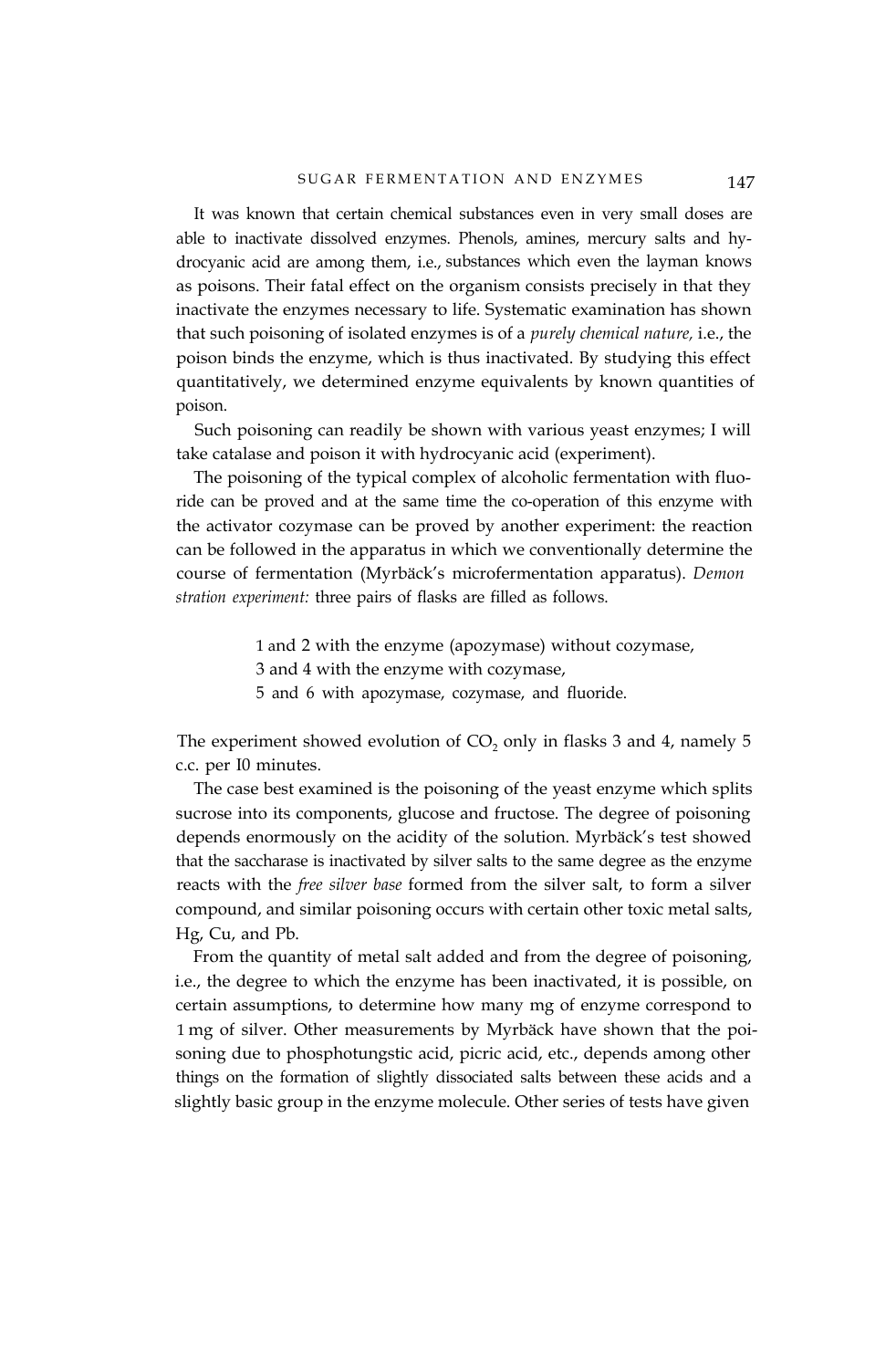It was known that certain chemical substances even in very small doses are able to inactivate dissolved enzymes. Phenols, amines, mercury salts and hydrocyanic acid are among them, i.e., substances which even the layman knows as poisons. Their fatal effect on the organism consists precisely in that they inactivate the enzymes necessary to life. Systematic examination has shown that such poisoning of isolated enzymes is of a *purely chemical nature,* i.e., the poison binds the enzyme, which is thus inactivated. By studying this effect quantitatively, we determined enzyme equivalents by known quantities of poison.

Such poisoning can readily be shown with various yeast enzymes; I will take catalase and poison it with hydrocyanic acid (experiment).

The poisoning of the typical complex of alcoholic fermentation with fluoride can be proved and at the same time the co-operation of this enzyme with the activator cozymase can be proved by another experiment: the reaction can be followed in the apparatus in which we conventionally determine the course of fermentation (Myrbäck's microfermentation apparatus). *Demon stration experiment:* three pairs of flasks are filled as follows.

> 1 and 2 with the enzyme (apozymase) without cozymase, 3 and 4 with the enzyme with cozymase, 5 and 6 with apozymase, cozymase, and fluoride.

The experiment showed evolution of  $CO<sub>2</sub>$  only in flasks 3 and 4, namely 5 c.c. per I0 minutes.

The case best examined is the poisoning of the yeast enzyme which splits sucrose into its components, glucose and fructose. The degree of poisoning depends enormously on the acidity of the solution. Myrbäck's test showed that the saccharase is inactivated by silver salts to the same degree as the enzyme reacts with the *free silver base* formed from the silver salt, to form a silver compound, and similar poisoning occurs with certain other toxic metal salts, Hg, Cu, and Pb.

From the quantity of metal salt added and from the degree of poisoning, i.e., the degree to which the enzyme has been inactivated, it is possible, on certain assumptions, to determine how many mg of enzyme correspond to 1 mg of silver. Other measurements by Myrbäck have shown that the poisoning due to phosphotungstic acid, picric acid, etc., depends among other things on the formation of slightly dissociated salts between these acids and a slightly basic group in the enzyme molecule. Other series of tests have given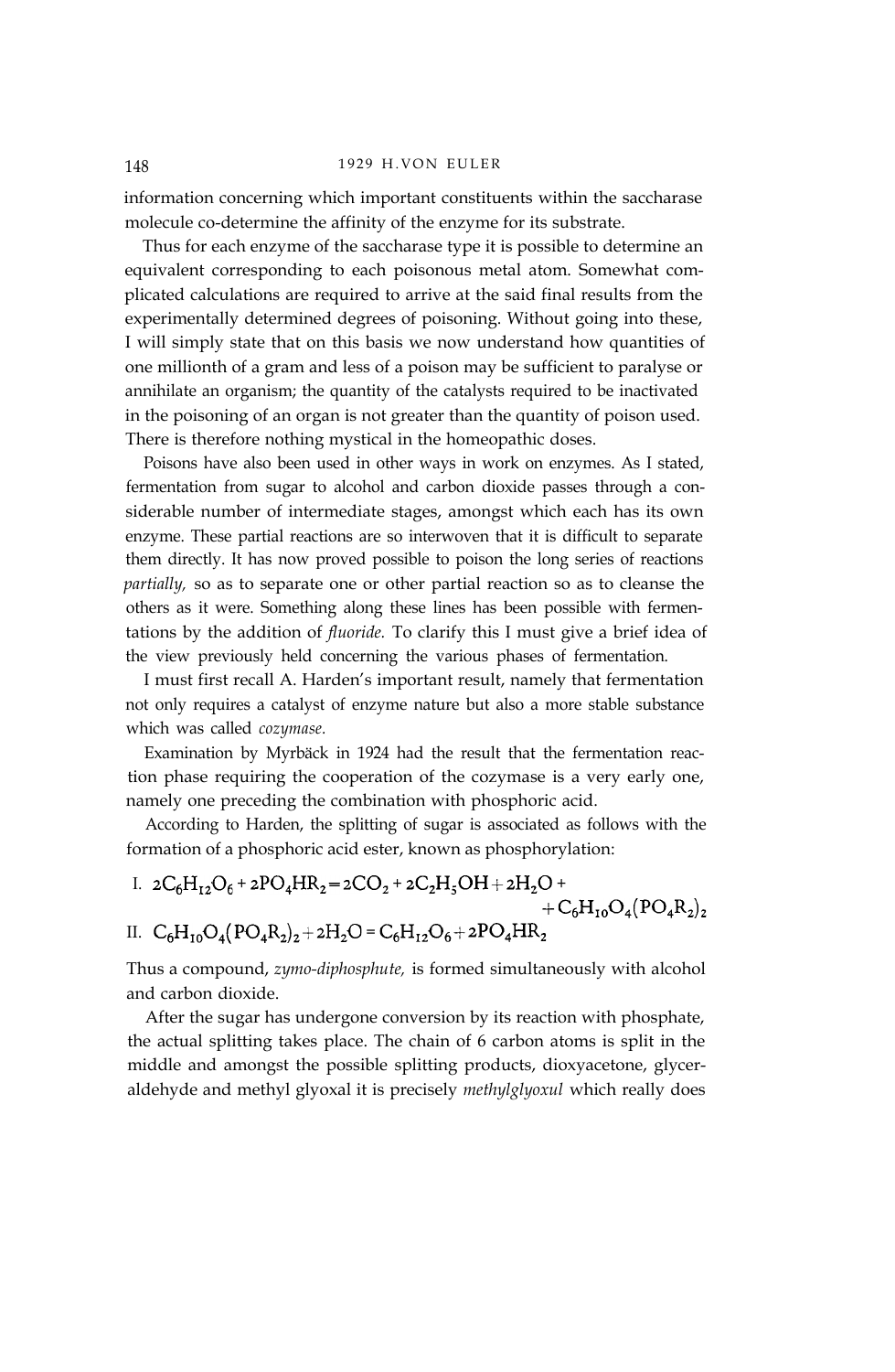#### 148 1929 H.VON EULER

information concerning which important constituents within the saccharase molecule co-determine the affinity of the enzyme for its substrate.

Thus for each enzyme of the saccharase type it is possible to determine an equivalent corresponding to each poisonous metal atom. Somewhat complicated calculations are required to arrive at the said final results from the experimentally determined degrees of poisoning. Without going into these, I will simply state that on this basis we now understand how quantities of one millionth of a gram and less of a poison may be sufficient to paralyse or annihilate an organism; the quantity of the catalysts required to be inactivated in the poisoning of an organ is not greater than the quantity of poison used. There is therefore nothing mystical in the homeopathic doses.

Poisons have also been used in other ways in work on enzymes. As I stated, fermentation from sugar to alcohol and carbon dioxide passes through a considerable number of intermediate stages, amongst which each has its own enzyme. These partial reactions are so interwoven that it is difficult to separate them directly. It has now proved possible to poison the long series of reactions *partially,* so as to separate one or other partial reaction so as to cleanse the others as it were. Something along these lines has been possible with fermentations by the addition of *fluoride.* To clarify this I must give a brief idea of the view previously held concerning the various phases of fermentation.

I must first recall A. Harden's important result, namely that fermentation not only requires a catalyst of enzyme nature but also a more stable substance which was called *cozymase.*

Examination by Myrbäck in 1924 had the result that the fermentation reaction phase requiring the cooperation of the cozymase is a very early one, namely one preceding the combination with phosphoric acid.

According to Harden, the splitting of sugar is associated as follows with the formation of a phosphoric acid ester, known as phosphorylation:

I.  $2C_6H_{12}O_6 + 2PO_4HR_2 = 2CO_2 + 2C_2H_5OH + 2H_2O +$  $+C_6H_{10}O_4(PO_4R_2)_2$ II.  $C_6H_{10}O_4(PO_4R_2)_2+2H_2O=C_6H_{12}O_6+2PO_4HR_2$ 

Thus a compound, *zymo-diphosphute,* is formed simultaneously with alcohol and carbon dioxide.

After the sugar has undergone conversion by its reaction with phosphate, the actual splitting takes place. The chain of 6 carbon atoms is split in the middle and amongst the possible splitting products, dioxyacetone, glyceraldehyde and methyl glyoxal it is precisely *methylglyoxul* which really does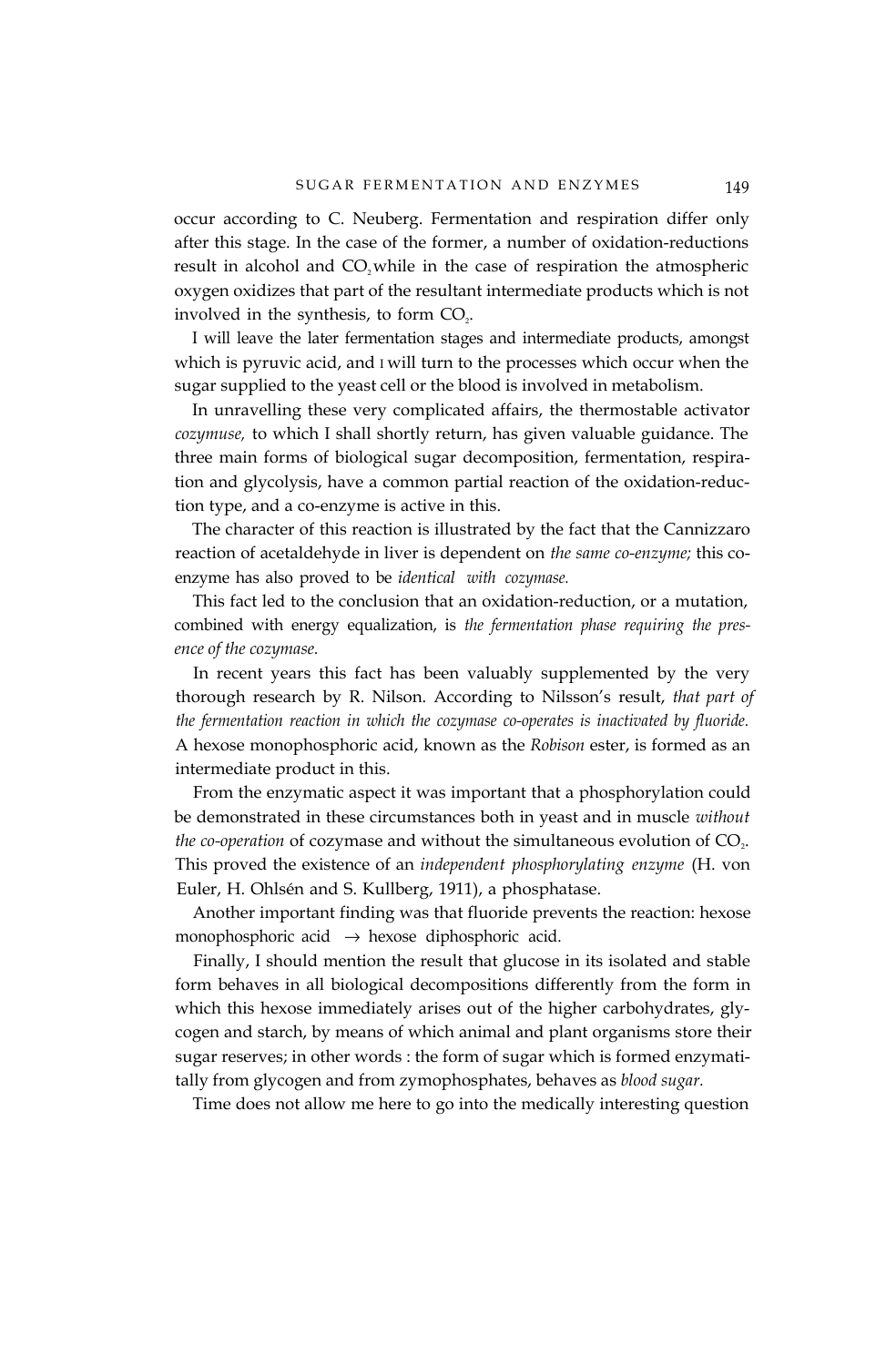occur according to C. Neuberg. Fermentation and respiration differ only after this stage. In the case of the former, a number of oxidation-reductions result in alcohol and CO<sub>2</sub> while in the case of respiration the atmospheric oxygen oxidizes that part of the resultant intermediate products which is not involved in the synthesis, to form  $CO<sub>2</sub>$ .

I will leave the later fermentation stages and intermediate products, amongst which is pyruvic acid, and I will turn to the processes which occur when the sugar supplied to the yeast cell or the blood is involved in metabolism.

In unravelling these very complicated affairs, the thermostable activator *cozymuse,* to which I shall shortly return, has given valuable guidance. The three main forms of biological sugar decomposition, fermentation, respiration and glycolysis, have a common partial reaction of the oxidation-reduction type, and a co-enzyme is active in this.

The character of this reaction is illustrated by the fact that the Cannizzaro reaction of acetaldehyde in liver is dependent on *the same co-enzyme;* this coenzyme has also proved to be *identical with cozymase.*

This fact led to the conclusion that an oxidation-reduction, or a mutation, combined with energy equalization, is *the fermentation phase requiring the presence of the cozymase.*

In recent years this fact has been valuably supplemented by the very thorough research by R. Nilson. According to Nilsson's result, *that part of the fermentation reaction in which the cozymase co-operates is inactivated by fluoride.* A hexose monophosphoric acid, known as the *Robison* ester, is formed as an intermediate product in this.

From the enzymatic aspect it was important that a phosphorylation could be demonstrated in these circumstances both in yeast and in muscle *without the co-operation* of cozymase and without the simultaneous evolution of CO<sub>2</sub>. This proved the existence of an *independent phosphorylating enzyme* (H. von Euler, H. Ohlsén and S. Kullberg, 1911), a phosphatase.

Another important finding was that fluoride prevents the reaction: hexose monophosphoric acid  $\rightarrow$  hexose diphosphoric acid.

Finally, I should mention the result that glucose in its isolated and stable form behaves in all biological decompositions differently from the form in which this hexose immediately arises out of the higher carbohydrates, glycogen and starch, by means of which animal and plant organisms store their sugar reserves; in other words : the form of sugar which is formed enzymatitally from glycogen and from zymophosphates, behaves as *blood sugar.*

Time does not allow me here to go into the medically interesting question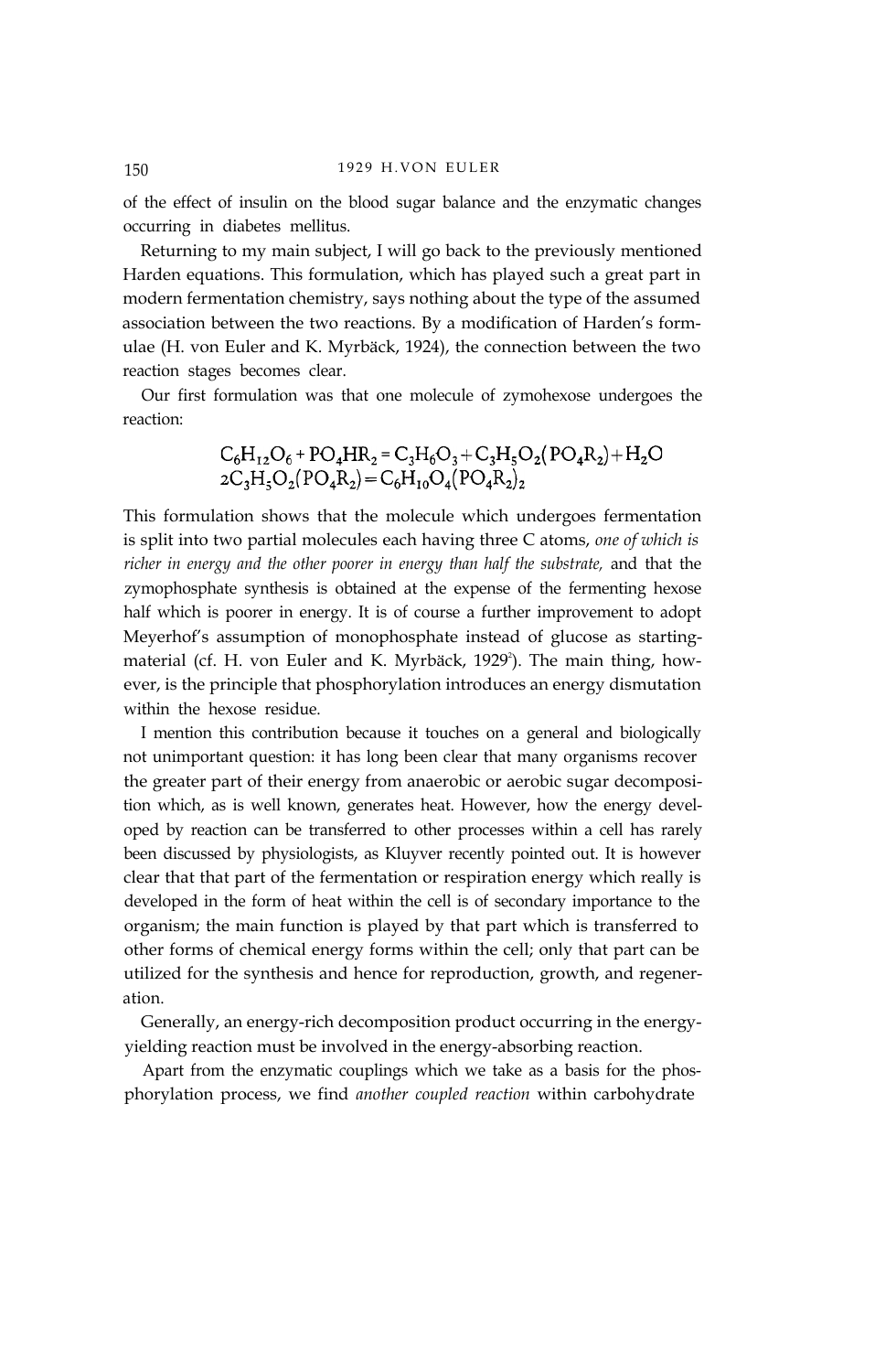of the effect of insulin on the blood sugar balance and the enzymatic changes occurring in diabetes mellitus.

Returning to my main subject, I will go back to the previously mentioned Harden equations. This formulation, which has played such a great part in modern fermentation chemistry, says nothing about the type of the assumed association between the two reactions. By a modification of Harden's formulae (H. von Euler and K. Myrbäck, 1924), the connection between the two reaction stages becomes clear.

Our first formulation was that one molecule of zymohexose undergoes the reaction:

$$
C_6H_{12}O_6 + PO_4HR_2 = C_3H_6O_3 + C_3H_5O_2(PO_4R_2) + H_2O
$$
  
2C<sub>3</sub>H<sub>5</sub>O<sub>2</sub>(PO<sub>4</sub>R<sub>2</sub>) = C<sub>6</sub>H<sub>10</sub>O<sub>4</sub>(PO<sub>4</sub>R<sub>2</sub>)<sub>2</sub>

This formulation shows that the molecule which undergoes fermentation is split into two partial molecules each having three C atoms, *one of which is richer in energy and the other poorer in energy than half the substrate,* and that the zymophosphate synthesis is obtained at the expense of the fermenting hexose half which is poorer in energy. It is of course a further improvement to adopt Meyerhof's assumption of monophosphate instead of glucose as startingmaterial (cf. H. von Euler and K. Myrbäck, 1929<sup>2</sup>). The main thing, however, is the principle that phosphorylation introduces an energy dismutation within the hexose residue.

I mention this contribution because it touches on a general and biologically not unimportant question: it has long been clear that many organisms recover the greater part of their energy from anaerobic or aerobic sugar decomposition which, as is well known, generates heat. However, how the energy developed by reaction can be transferred to other processes within a cell has rarely been discussed by physiologists, as Kluyver recently pointed out. It is however clear that that part of the fermentation or respiration energy which really is developed in the form of heat within the cell is of secondary importance to the organism; the main function is played by that part which is transferred to other forms of chemical energy forms within the cell; only that part can be utilized for the synthesis and hence for reproduction, growth, and regeneration.

Generally, an energy-rich decomposition product occurring in the energyyielding reaction must be involved in the energy-absorbing reaction.

Apart from the enzymatic couplings which we take as a basis for the phosphorylation process, we find *another coupled reaction* within carbohydrate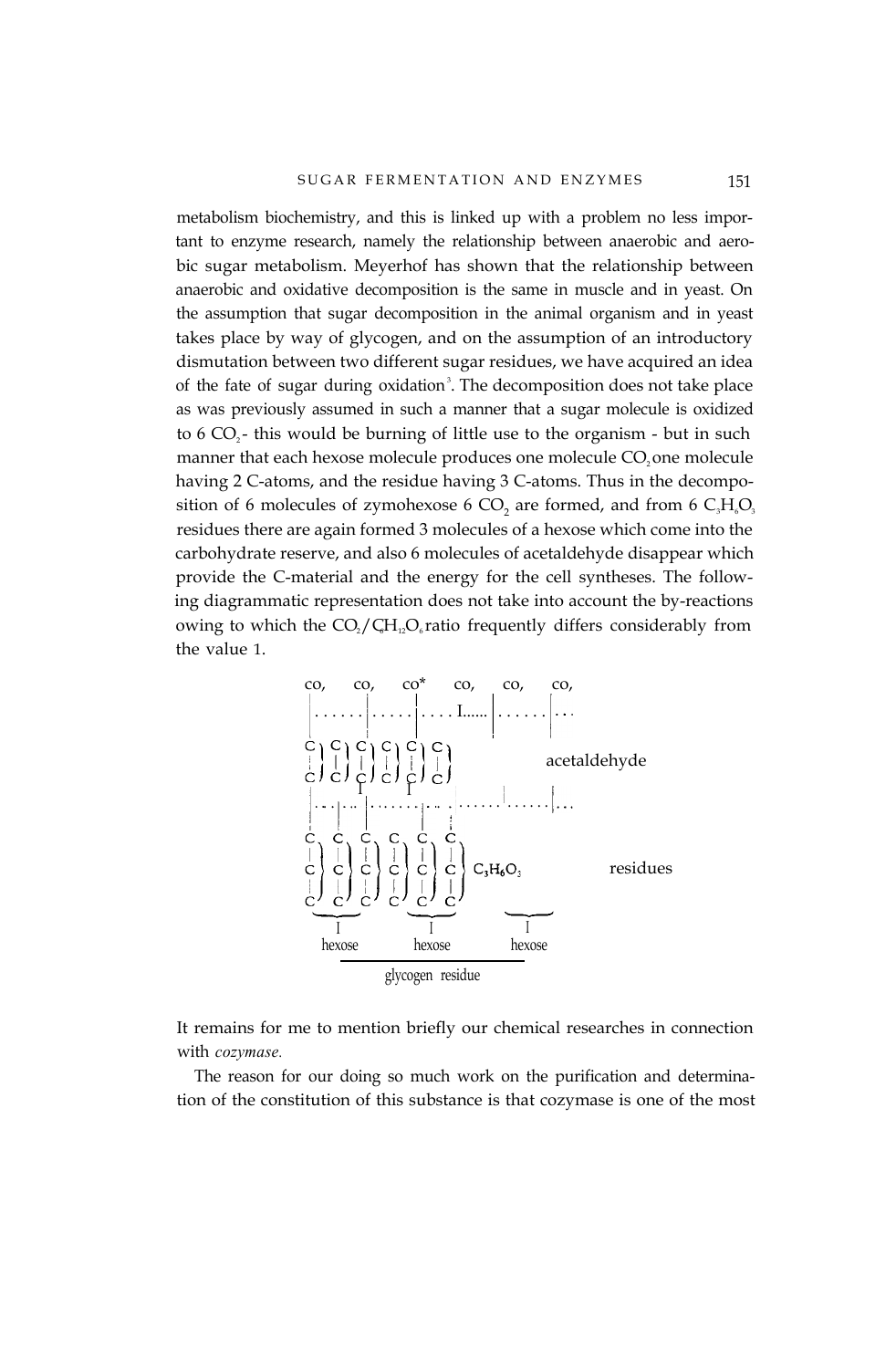metabolism biochemistry, and this is linked up with a problem no less important to enzyme research, namely the relationship between anaerobic and aerobic sugar metabolism. Meyerhof has shown that the relationship between anaerobic and oxidative decomposition is the same in muscle and in yeast. On the assumption that sugar decomposition in the animal organism and in yeast takes place by way of glycogen, and on the assumption of an introductory dismutation between two different sugar residues, we have acquired an idea of the fate of sugar during oxidation<sup>3</sup>. The decomposition does not take place as was previously assumed in such a manner that a sugar molecule is oxidized to  $6$  CO<sub>2</sub>- this would be burning of little use to the organism - but in such manner that each hexose molecule produces one molecule CO<sub>2</sub> one molecule having 2 C-atoms, and the residue having 3 C-atoms. Thus in the decomposition of 6 molecules of zymohexose 6 CO<sub>2</sub> are formed, and from 6  $C_3H_6O_3$ residues there are again formed 3 molecules of a hexose which come into the carbohydrate reserve, and also 6 molecules of acetaldehyde disappear which provide the C-material and the energy for the cell syntheses. The following diagrammatic representation does not take into account the by-reactions owing to which the  $CO_2 / CH_1 O_6$  ratio frequently differs considerably from the value 1.



It remains for me to mention briefly our chemical researches in connection with *cozymase.*

The reason for our doing so much work on the purification and determination of the constitution of this substance is that cozymase is one of the most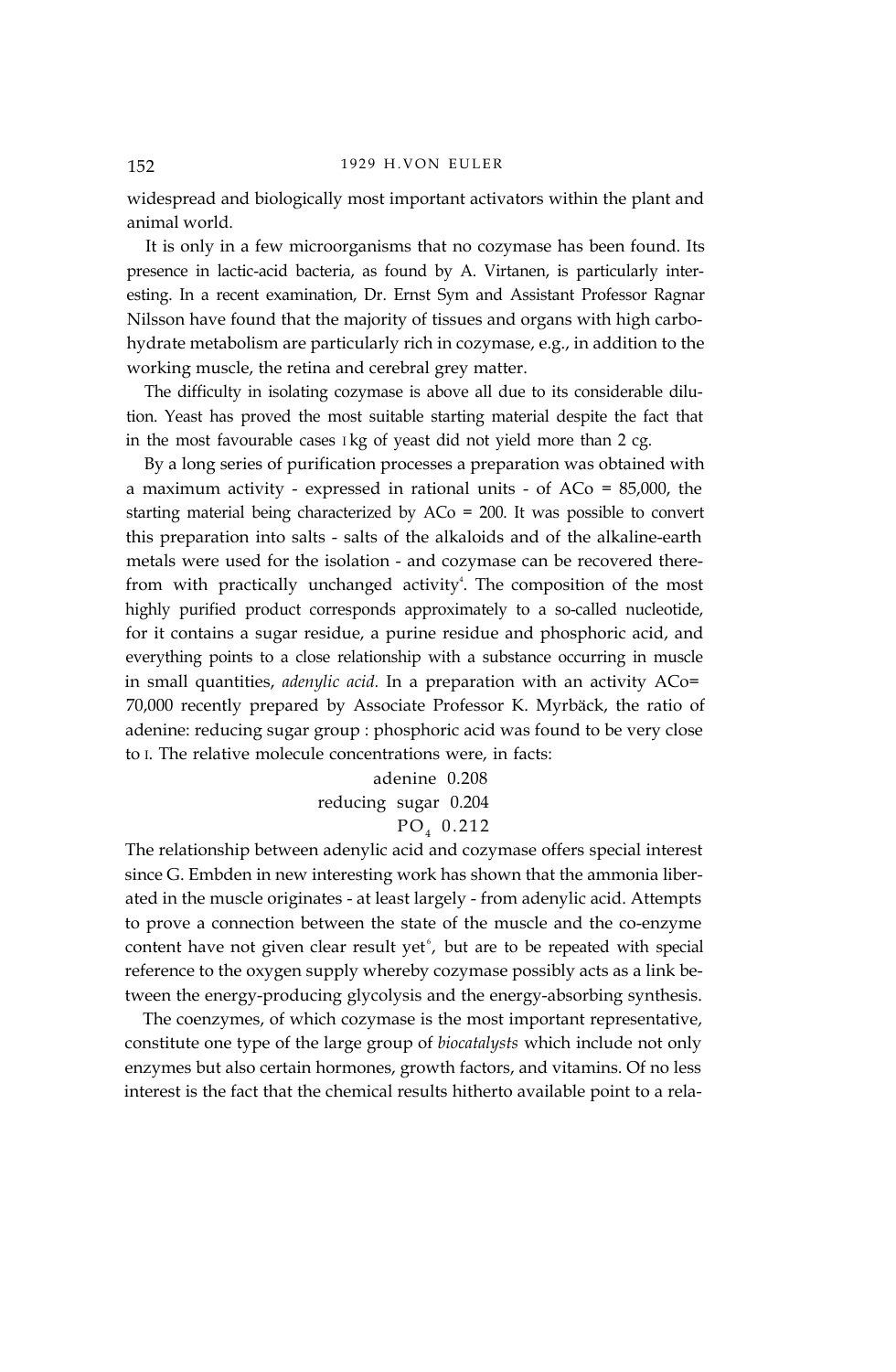widespread and biologically most important activators within the plant and animal world.

It is only in a few microorganisms that no cozymase has been found. Its presence in lactic-acid bacteria, as found by A. Virtanen, is particularly interesting. In a recent examination, Dr. Ernst Sym and Assistant Professor Ragnar Nilsson have found that the majority of tissues and organs with high carbohydrate metabolism are particularly rich in cozymase, e.g., in addition to the working muscle, the retina and cerebral grey matter.

The difficulty in isolating cozymase is above all due to its considerable dilution. Yeast has proved the most suitable starting material despite the fact that in the most favourable cases I kg of yeast did not yield more than 2 cg.

By a long series of purification processes a preparation was obtained with a maximum activity - expressed in rational units - of ACo = 85,000, the starting material being characterized by ACo = 200. It was possible to convert this preparation into salts - salts of the alkaloids and of the alkaline-earth metals were used for the isolation - and cozymase can be recovered therefrom with practically unchanged activity<sup>4</sup>. The composition of the most highly purified product corresponds approximately to a so-called nucleotide, for it contains a sugar residue, a purine residue and phosphoric acid, and everything points to a close relationship with a substance occurring in muscle in small quantities, *adenylic acid.* In a preparation with an activity ACo= 70,000 recently prepared by Associate Professor K. Myrbäck, the ratio of adenine: reducing sugar group : phosphoric acid was found to be very close to I. The relative molecule concentrations were, in facts:

adenine 0.208

reducing sugar 0.204

# $PO<sub>4</sub> 0.212$

The relationship between adenylic acid and cozymase offers special interest since G. Embden in new interesting work has shown that the ammonia liberated in the muscle originates - at least largely - from adenylic acid. Attempts to prove a connection between the state of the muscle and the co-enzyme content have not given clear result yet $\mathfrak{b}$ , but are to be repeated with special reference to the oxygen supply whereby cozymase possibly acts as a link between the energy-producing glycolysis and the energy-absorbing synthesis.

The coenzymes, of which cozymase is the most important representative, constitute one type of the large group of *biocatalysts* which include not only enzymes but also certain hormones, growth factors, and vitamins. Of no less interest is the fact that the chemical results hitherto available point to a rela-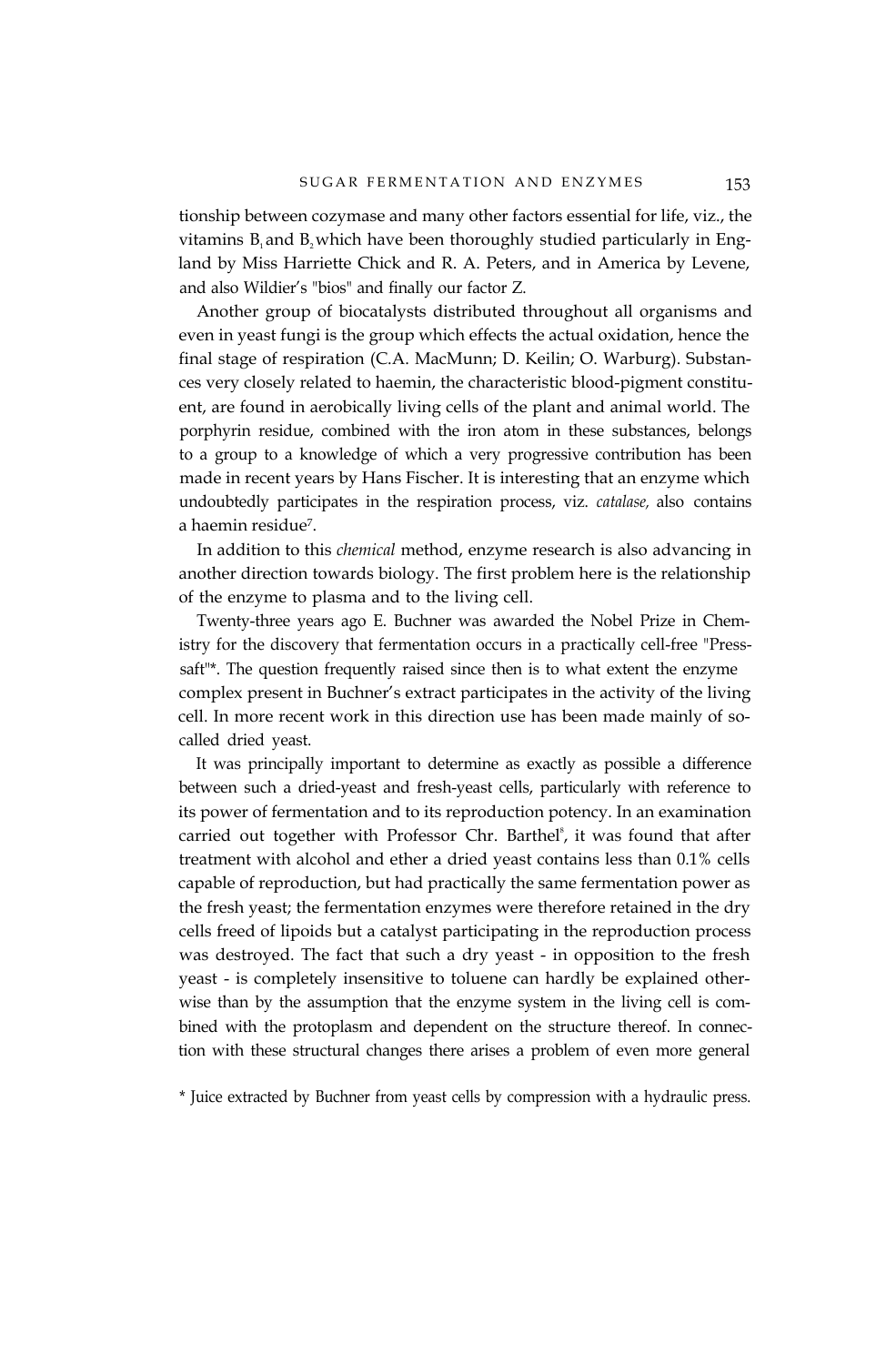tionship between cozymase and many other factors essential for life, viz., the vitamins  $B_1$  and  $B_2$  which have been thoroughly studied particularly in England by Miss Harriette Chick and R. A. Peters, and in America by Levene, and also Wildier's "bios" and finally our factor Z.

Another group of biocatalysts distributed throughout all organisms and even in yeast fungi is the group which effects the actual oxidation, hence the final stage of respiration (C.A. MacMunn; D. Keilin; O. Warburg). Substances very closely related to haemin, the characteristic blood-pigment constituent, are found in aerobically living cells of the plant and animal world. The porphyrin residue, combined with the iron atom in these substances, belongs to a group to a knowledge of which a very progressive contribution has been made in recent years by Hans Fischer. It is interesting that an enzyme which undoubtedly participates in the respiration process, viz. *catalase,* also contains a haemin residue7.

In addition to this *chemical* method, enzyme research is also advancing in another direction towards biology. The first problem here is the relationship of the enzyme to plasma and to the living cell.

Twenty-three years ago E. Buchner was awarded the Nobel Prize in Chemistry for the discovery that fermentation occurs in a practically cell-free "Presssaft"\*. The question frequently raised since then is to what extent the enzyme complex present in Buchner's extract participates in the activity of the living cell. In more recent work in this direction use has been made mainly of socalled dried yeast.

It was principally important to determine as exactly as possible a difference between such a dried-yeast and fresh-yeast cells, particularly with reference to its power of fermentation and to its reproduction potency. In an examination carried out together with Professor Chr. Barthel<sup>8</sup>, it was found that after treatment with alcohol and ether a dried yeast contains less than 0.1% cells capable of reproduction, but had practically the same fermentation power as the fresh yeast; the fermentation enzymes were therefore retained in the dry cells freed of lipoids but a catalyst participating in the reproduction process was destroyed. The fact that such a dry yeast - in opposition to the fresh yeast - is completely insensitive to toluene can hardly be explained otherwise than by the assumption that the enzyme system in the living cell is combined with the protoplasm and dependent on the structure thereof. In connection with these structural changes there arises a problem of even more general

\* Juice extracted by Buchner from yeast cells by compression with a hydraulic press.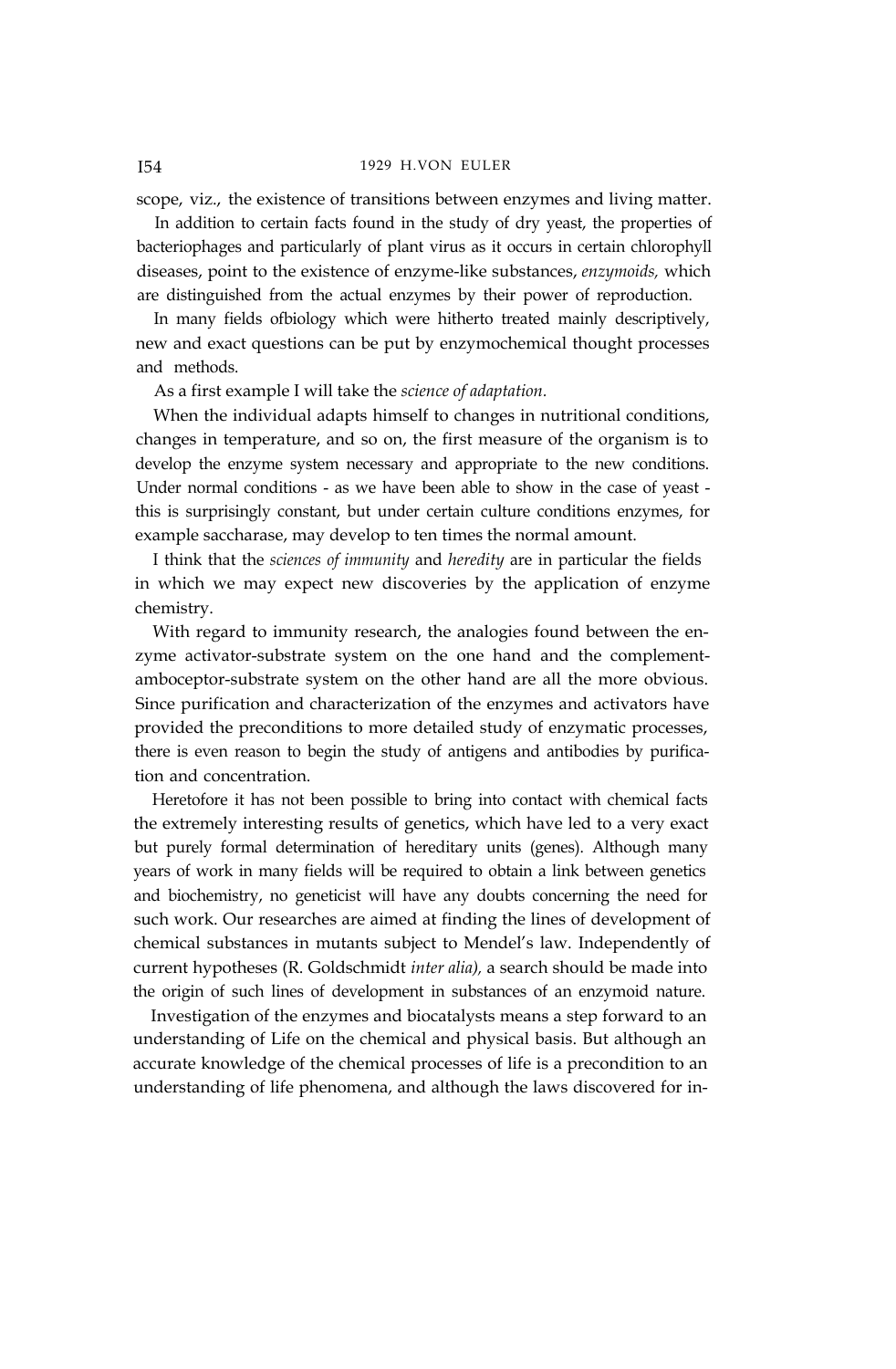## I54 1929 H.VON EULER

scope, viz., the existence of transitions between enzymes and living matter.

In addition to certain facts found in the study of dry yeast, the properties of bacteriophages and particularly of plant virus as it occurs in certain chlorophyll diseases, point to the existence of enzyme-like substances, *enzymoids,* which are distinguished from the actual enzymes by their power of reproduction.

In many fields ofbiology which were hitherto treated mainly descriptively, new and exact questions can be put by enzymochemical thought processes and methods.

As a first example I will take the *science of adaptation.*

When the individual adapts himself to changes in nutritional conditions, changes in temperature, and so on, the first measure of the organism is to develop the enzyme system necessary and appropriate to the new conditions. Under normal conditions - as we have been able to show in the case of yeast this is surprisingly constant, but under certain culture conditions enzymes, for example saccharase, may develop to ten times the normal amount.

I think that the *sciences of immunity* and *heredity* are in particular the fields in which we may expect new discoveries by the application of enzyme chemistry.

With regard to immunity research, the analogies found between the enzyme activator-substrate system on the one hand and the complementamboceptor-substrate system on the other hand are all the more obvious. Since purification and characterization of the enzymes and activators have provided the preconditions to more detailed study of enzymatic processes, there is even reason to begin the study of antigens and antibodies by purification and concentration.

Heretofore it has not been possible to bring into contact with chemical facts the extremely interesting results of genetics, which have led to a very exact but purely formal determination of hereditary units (genes). Although many years of work in many fields will be required to obtain a link between genetics and biochemistry, no geneticist will have any doubts concerning the need for such work. Our researches are aimed at finding the lines of development of chemical substances in mutants subject to Mendel's law. Independently of current hypotheses (R. Goldschmidt *inter alia),* a search should be made into the origin of such lines of development in substances of an enzymoid nature.

Investigation of the enzymes and biocatalysts means a step forward to an understanding of Life on the chemical and physical basis. But although an accurate knowledge of the chemical processes of life is a precondition to an understanding of life phenomena, and although the laws discovered for in-